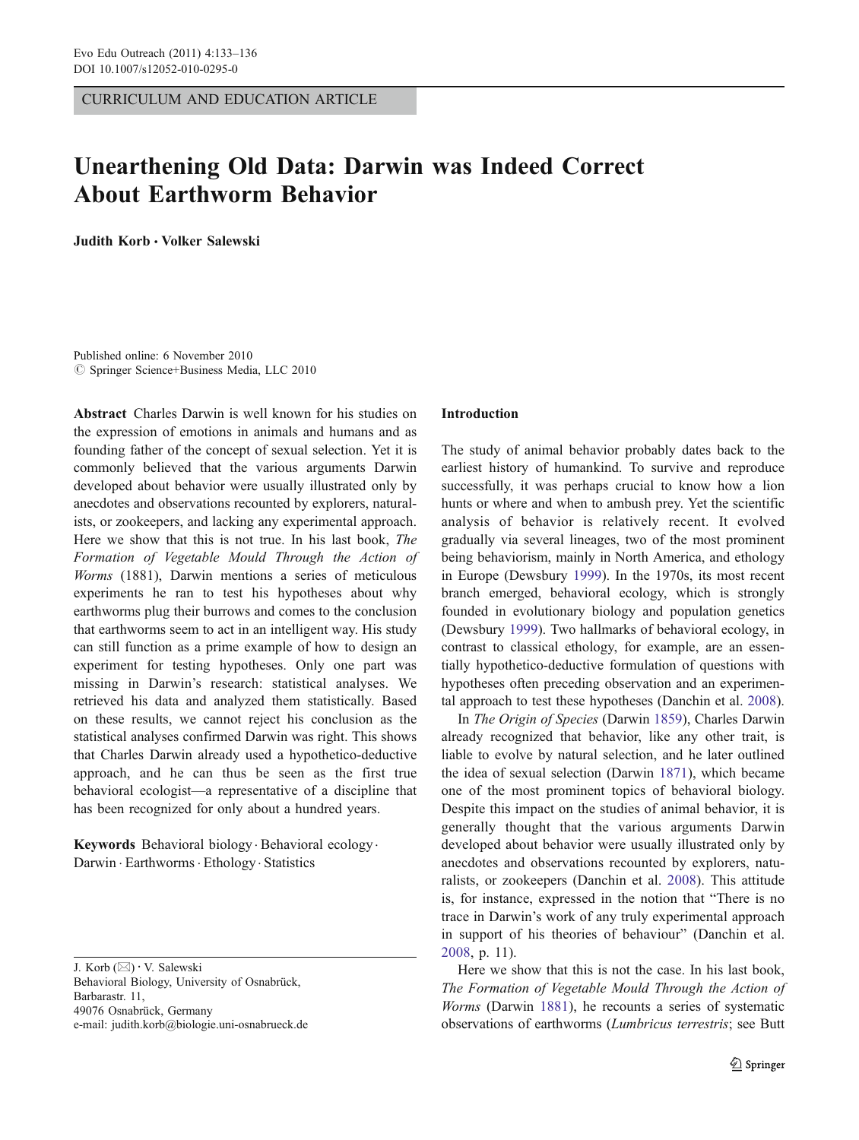CURRICULUM AND EDUCATION ARTICLE

# Unearthening Old Data: Darwin was Indeed Correct About Earthworm Behavior

Judith Korb & Volker Salewski

Published online: 6 November 2010  $©$  Springer Science+Business Media, LLC 2010

Abstract Charles Darwin is well known for his studies on the expression of emotions in animals and humans and as founding father of the concept of sexual selection. Yet it is commonly believed that the various arguments Darwin developed about behavior were usually illustrated only by anecdotes and observations recounted by explorers, naturalists, or zookeepers, and lacking any experimental approach. Here we show that this is not true. In his last book, The Formation of Vegetable Mould Through the Action of Worms (1881), Darwin mentions a series of meticulous experiments he ran to test his hypotheses about why earthworms plug their burrows and comes to the conclusion that earthworms seem to act in an intelligent way. His study can still function as a prime example of how to design an experiment for testing hypotheses. Only one part was missing in Darwin's research: statistical analyses. We retrieved his data and analyzed them statistically. Based on these results, we cannot reject his conclusion as the statistical analyses confirmed Darwin was right. This shows that Charles Darwin already used a hypothetico-deductive approach, and he can thus be seen as the first true behavioral ecologist—a representative of a discipline that has been recognized for only about a hundred years.

Keywords Behavioral biology . Behavioral ecology . Darwin · Earthworms · Ethology · Statistics

## Introduction

The study of animal behavior probably dates back to the earliest history of humankind. To survive and reproduce successfully, it was perhaps crucial to know how a lion hunts or where and when to ambush prey. Yet the scientific analysis of behavior is relatively recent. It evolved gradually via several lineages, two of the most prominent being behaviorism, mainly in North America, and ethology in Europe (Dewsbury [1999](#page-3-0)). In the 1970s, its most recent branch emerged, behavioral ecology, which is strongly founded in evolutionary biology and population genetics (Dewsbury [1999](#page-3-0)). Two hallmarks of behavioral ecology, in contrast to classical ethology, for example, are an essentially hypothetico-deductive formulation of questions with hypotheses often preceding observation and an experimental approach to test these hypotheses (Danchin et al. [2008\)](#page-3-0).

In The Origin of Species (Darwin [1859](#page-3-0)), Charles Darwin already recognized that behavior, like any other trait, is liable to evolve by natural selection, and he later outlined the idea of sexual selection (Darwin [1871](#page-3-0)), which became one of the most prominent topics of behavioral biology. Despite this impact on the studies of animal behavior, it is generally thought that the various arguments Darwin developed about behavior were usually illustrated only by anecdotes and observations recounted by explorers, naturalists, or zookeepers (Danchin et al. [2008](#page-3-0)). This attitude is, for instance, expressed in the notion that "There is no trace in Darwin's work of any truly experimental approach in support of his theories of behaviour" (Danchin et al. [2008](#page-3-0), p. 11).

Here we show that this is not the case. In his last book, The Formation of Vegetable Mould Through the Action of Worms (Darwin [1881](#page-3-0)), he recounts a series of systematic observations of earthworms (Lumbricus terrestris; see Butt

J. Korb ( $\boxtimes$ ) · V. Salewski Behavioral Biology, University of Osnabrück, Barbarastr. 11, 49076 Osnabrück, Germany e-mail: judith.korb@biologie.uni-osnabrueck.de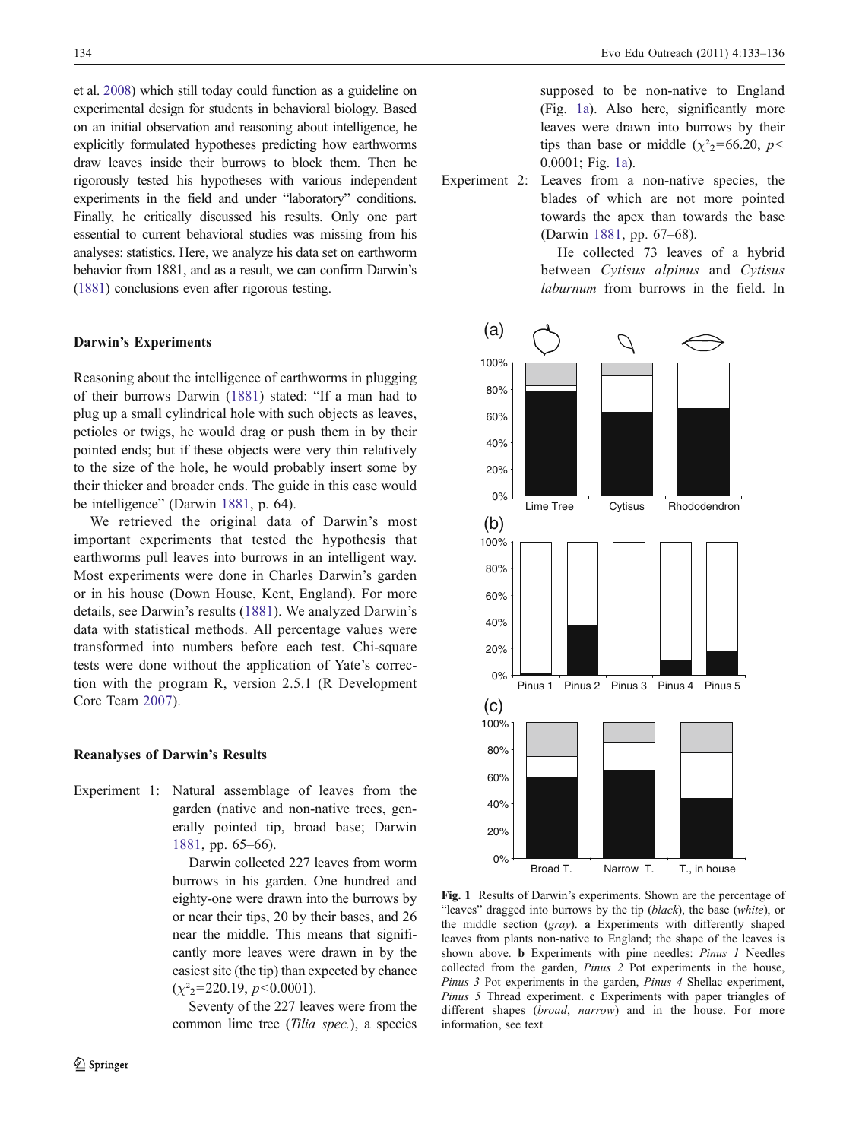<span id="page-1-0"></span>et al. [2008\)](#page-3-0) which still today could function as a guideline on experimental design for students in behavioral biology. Based on an initial observation and reasoning about intelligence, he explicitly formulated hypotheses predicting how earthworms draw leaves inside their burrows to block them. Then he rigorously tested his hypotheses with various independent experiments in the field and under "laboratory" conditions. Finally, he critically discussed his results. Only one part essential to current behavioral studies was missing from his analyses: statistics. Here, we analyze his data set on earthworm behavior from 1881, and as a result, we can confirm Darwin's [\(1881](#page-3-0)) conclusions even after rigorous testing.

# Darwin's Experiments

Reasoning about the intelligence of earthworms in plugging of their burrows Darwin ([1881\)](#page-3-0) stated: "If a man had to plug up a small cylindrical hole with such objects as leaves, petioles or twigs, he would drag or push them in by their pointed ends; but if these objects were very thin relatively to the size of the hole, he would probably insert some by their thicker and broader ends. The guide in this case would be intelligence" (Darwin [1881](#page-3-0), p. 64).

We retrieved the original data of Darwin's most important experiments that tested the hypothesis that earthworms pull leaves into burrows in an intelligent way. Most experiments were done in Charles Darwin's garden or in his house (Down House, Kent, England). For more details, see Darwin's results [\(1881\)](#page-3-0). We analyzed Darwin's data with statistical methods. All percentage values were transformed into numbers before each test. Chi-square tests were done without the application of Yate's correction with the program R, version 2.5.1 (R Development Core Team [2007\)](#page-3-0).

#### Reanalyses of Darwin's Results

Experiment 1: Natural assemblage of leaves from the garden (native and non-native trees, generally pointed tip, broad base; Darwin [1881,](#page-3-0) pp. 65–66).

> Darwin collected 227 leaves from worm burrows in his garden. One hundred and eighty-one were drawn into the burrows by or near their tips, 20 by their bases, and 26 near the middle. This means that significantly more leaves were drawn in by the easiest site (the tip) than expected by chance  $(\chi^2_{2} = 220.19, p < 0.0001).$

> Seventy of the 227 leaves were from the common lime tree (Tilia spec.), a species

supposed to be non-native to England (Fig. 1a). Also here, significantly more leaves were drawn into burrows by their tips than base or middle ( $\chi^2$ <sub>2</sub>=66.20, *p*< 0.0001; Fig. 1a).

Experiment 2: Leaves from a non-native species, the blades of which are not more pointed towards the apex than towards the base (Darwin [1881](#page-3-0), pp. 67–68).

> He collected 73 leaves of a hybrid between Cytisus alpinus and Cytisus laburnum from burrows in the field. In



Fig. 1 Results of Darwin's experiments. Shown are the percentage of "leaves" dragged into burrows by the tip (black), the base (white), or the middle section (gray). a Experiments with differently shaped leaves from plants non-native to England; the shape of the leaves is shown above. **b** Experiments with pine needles: *Pinus 1* Needles collected from the garden, Pinus 2 Pot experiments in the house, Pinus 3 Pot experiments in the garden, Pinus 4 Shellac experiment, Pinus 5 Thread experiment. c Experiments with paper triangles of different shapes (*broad*, *narrow*) and in the house. For more information, see text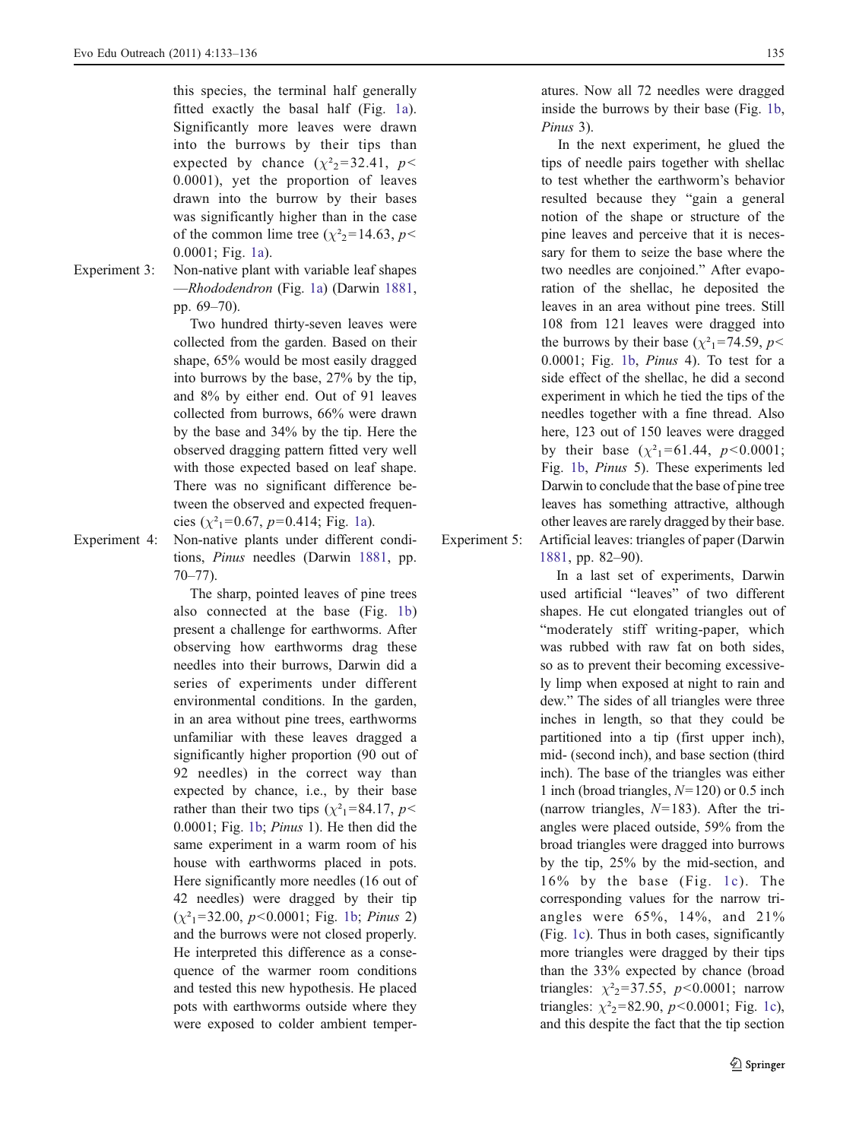this species, the terminal half generally fitted exactly the basal half (Fig. [1a](#page-1-0)). Significantly more leaves were drawn into the burrows by their tips than expected by chance  $(\chi^2)^2 = 32.41$ ,  $p <$ 0.0001), yet the proportion of leaves drawn into the burrow by their bases was significantly higher than in the case of the common lime tree ( $\chi^2$ <sub>2</sub>=14.63, *p* < 0.0001; Fig. [1a](#page-1-0)).

Experiment 3: Non-native plant with variable leaf shapes —Rhododendron (Fig. [1a](#page-1-0)) (Darwin [1881,](#page-3-0) pp. 69–70).

> Two hundred thirty-seven leaves were collected from the garden. Based on their shape, 65% would be most easily dragged into burrows by the base, 27% by the tip, and 8% by either end. Out of 91 leaves collected from burrows, 66% were drawn by the base and 34% by the tip. Here the observed dragging pattern fitted very well with those expected based on leaf shape. There was no significant difference between the observed and expected frequencies  $(\chi^2_1=0.67, p=0.414;$  Fig. [1a\)](#page-1-0).

Experiment 4: Non-native plants under different conditions, Pinus needles (Darwin [1881,](#page-3-0) pp. 70–77).

> The sharp, pointed leaves of pine trees also connected at the base (Fig. [1b\)](#page-1-0) present a challenge for earthworms. After observing how earthworms drag these needles into their burrows, Darwin did a series of experiments under different environmental conditions. In the garden, in an area without pine trees, earthworms unfamiliar with these leaves dragged a significantly higher proportion (90 out of 92 needles) in the correct way than expected by chance, i.e., by their base rather than their two tips  $(\chi^2) = 84.17$ ,  $p <$ 0.0001; Fig. [1b](#page-1-0); Pinus 1). He then did the same experiment in a warm room of his house with earthworms placed in pots. Here significantly more needles (16 out of 42 needles) were dragged by their tip  $(\chi^2_1=32.00, p<0.0001;$  Fig. [1b](#page-1-0); *Pinus* 2) and the burrows were not closed properly. He interpreted this difference as a consequence of the warmer room conditions and tested this new hypothesis. He placed pots with earthworms outside where they were exposed to colder ambient temper

atures. Now all 72 needles were dragged inside the burrows by their base (Fig. [1b,](#page-1-0) Pinus 3).

In the next experiment, he glued the tips of needle pairs together with shellac to test whether the earthworm's behavior resulted because they "gain a general notion of the shape or structure of the pine leaves and perceive that it is necessary for them to seize the base where the two needles are conjoined." After evaporation of the shellac, he deposited the leaves in an area without pine trees. Still 108 from 121 leaves were dragged into the burrows by their base ( $\chi^2$ <sub>1</sub>=74.59, *p*< 0.0001; Fig. [1b,](#page-1-0) Pinus 4). To test for a side effect of the shellac, he did a second experiment in which he tied the tips of the needles together with a fine thread. Also here, 123 out of 150 leaves were dragged by their base  $(\chi^2_1=61.44, p<0.0001)$ ; Fig. [1b,](#page-1-0) Pinus 5). These experiments led Darwin to conclude that the base of pine tree leaves has something attractive, although other leaves are rarely dragged by their base. Experiment 5: Artificial leaves: triangles of paper (Darwin

[1881](#page-3-0), pp. 82–90).

In a last set of experiments, Darwin used artificial "leaves" of two different shapes. He cut elongated triangles out of "moderately stiff writing-paper, which was rubbed with raw fat on both sides, so as to prevent their becoming excessively limp when exposed at night to rain and dew." The sides of all triangles were three inches in length, so that they could be partitioned into a tip (first upper inch), mid- (second inch), and base section (third inch). The base of the triangles was either 1 inch (broad triangles,  $N=120$ ) or 0.5 inch (narrow triangles,  $N=183$ ). After the triangles were placed outside, 59% from the broad triangles were dragged into burrows by the tip, 25% by the mid-section, and 16% by the base (Fig. [1c\)](#page-1-0). The corresponding values for the narrow triangles were 65%, 14%, and 21% (Fig. [1c\)](#page-1-0). Thus in both cases, significantly more triangles were dragged by their tips than the 33% expected by chance (broad triangles:  $\chi^2$ <sub>2</sub>=37.55, *p*<0.0001; narrow triangles:  $\chi^2$ <sub>2</sub>=82.90, *p*<0.0001; Fig. [1c\)](#page-1-0), and this despite the fact that the tip section